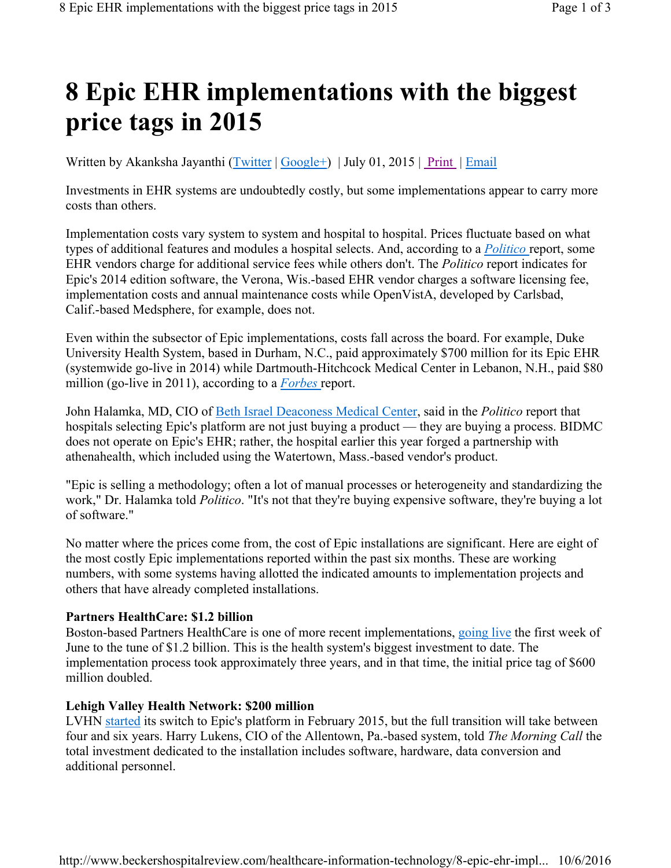# **8 Epic EHR implementations with the biggest price tags in 2015**

Written by Akanksha Jayanthi (Twitter | Google+) | July 01, 2015 | Print | Email

Investments in EHR systems are undoubtedly costly, but some implementations appear to carry more costs than others.

Implementation costs vary system to system and hospital to hospital. Prices fluctuate based on what types of additional features and modules a hospital selects. And, according to a *Politico* report, some EHR vendors charge for additional service fees while others don't. The *Politico* report indicates for Epic's 2014 edition software, the Verona, Wis.-based EHR vendor charges a software licensing fee, implementation costs and annual maintenance costs while OpenVistA, developed by Carlsbad, Calif.-based Medsphere, for example, does not.

Even within the subsector of Epic implementations, costs fall across the board. For example, Duke University Health System, based in Durham, N.C., paid approximately \$700 million for its Epic EHR (systemwide go-live in 2014) while Dartmouth-Hitchcock Medical Center in Lebanon, N.H., paid \$80 million (go-live in 2011), according to a *Forbes* report.

John Halamka, MD, CIO of Beth Israel Deaconess Medical Center, said in the *Politico* report that hospitals selecting Epic's platform are not just buying a product — they are buying a process. BIDMC does not operate on Epic's EHR; rather, the hospital earlier this year forged a partnership with athenahealth, which included using the Watertown, Mass.-based vendor's product.

"Epic is selling a methodology; often a lot of manual processes or heterogeneity and standardizing the work," Dr. Halamka told *Politico*. "It's not that they're buying expensive software, they're buying a lot of software."

No matter where the prices come from, the cost of Epic installations are significant. Here are eight of the most costly Epic implementations reported within the past six months. These are working numbers, with some systems having allotted the indicated amounts to implementation projects and others that have already completed installations.

#### **Partners HealthCare: \$1.2 billion**

Boston-based Partners HealthCare is one of more recent implementations, going live the first week of June to the tune of \$1.2 billion. This is the health system's biggest investment to date. The implementation process took approximately three years, and in that time, the initial price tag of \$600 million doubled.

#### **Lehigh Valley Health Network: \$200 million**

LVHN started its switch to Epic's platform in February 2015, but the full transition will take between four and six years. Harry Lukens, CIO of the Allentown, Pa.-based system, told *The Morning Call* the total investment dedicated to the installation includes software, hardware, data conversion and additional personnel.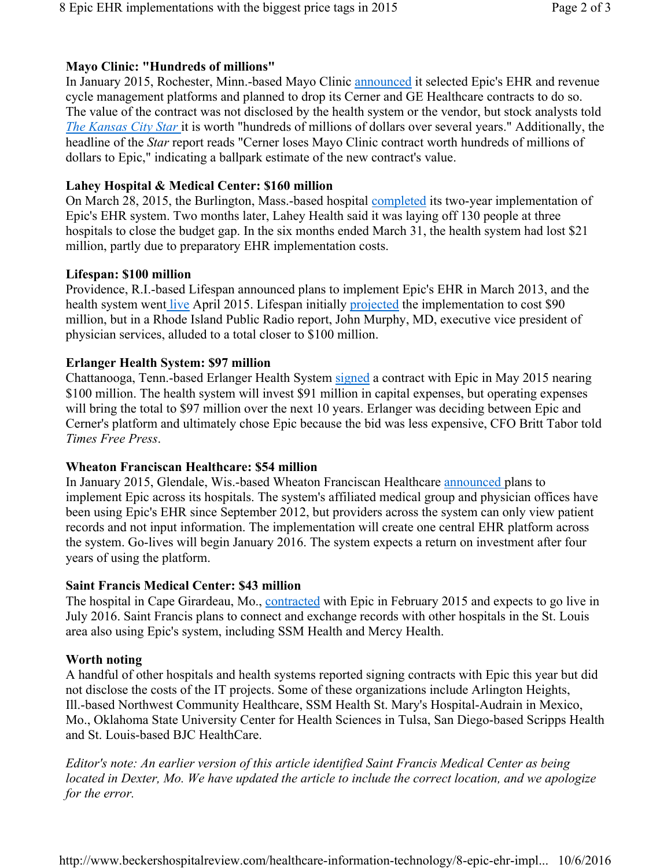# **Mayo Clinic: "Hundreds of millions"**

In January 2015, Rochester, Minn.-based Mayo Clinic announced it selected Epic's EHR and revenue cycle management platforms and planned to drop its Cerner and GE Healthcare contracts to do so. The value of the contract was not disclosed by the health system or the vendor, but stock analysts told *The Kansas City Star* it is worth "hundreds of millions of dollars over several years." Additionally, the headline of the *Star* report reads "Cerner loses Mayo Clinic contract worth hundreds of millions of dollars to Epic," indicating a ballpark estimate of the new contract's value.

# **Lahey Hospital & Medical Center: \$160 million**

On March 28, 2015, the Burlington, Mass.-based hospital completed its two-year implementation of Epic's EHR system. Two months later, Lahey Health said it was laying off 130 people at three hospitals to close the budget gap. In the six months ended March 31, the health system had lost \$21 million, partly due to preparatory EHR implementation costs.

# **Lifespan: \$100 million**

Providence, R.I.-based Lifespan announced plans to implement Epic's EHR in March 2013, and the health system went live April 2015. Lifespan initially projected the implementation to cost \$90 million, but in a Rhode Island Public Radio report, John Murphy, MD, executive vice president of physician services, alluded to a total closer to \$100 million.

#### **Erlanger Health System: \$97 million**

Chattanooga, Tenn.-based Erlanger Health System signed a contract with Epic in May 2015 nearing \$100 million. The health system will invest \$91 million in capital expenses, but operating expenses will bring the total to \$97 million over the next 10 years. Erlanger was deciding between Epic and Cerner's platform and ultimately chose Epic because the bid was less expensive, CFO Britt Tabor told *Times Free Press*.

# **Wheaton Franciscan Healthcare: \$54 million**

In January 2015, Glendale, Wis.-based Wheaton Franciscan Healthcare announced plans to implement Epic across its hospitals. The system's affiliated medical group and physician offices have been using Epic's EHR since September 2012, but providers across the system can only view patient records and not input information. The implementation will create one central EHR platform across the system. Go-lives will begin January 2016. The system expects a return on investment after four years of using the platform.

# **Saint Francis Medical Center: \$43 million**

The hospital in Cape Girardeau, Mo., contracted with Epic in February 2015 and expects to go live in July 2016. Saint Francis plans to connect and exchange records with other hospitals in the St. Louis area also using Epic's system, including SSM Health and Mercy Health.

# **Worth noting**

A handful of other hospitals and health systems reported signing contracts with Epic this year but did not disclose the costs of the IT projects. Some of these organizations include Arlington Heights, Ill.-based Northwest Community Healthcare, SSM Health St. Mary's Hospital-Audrain in Mexico, Mo., Oklahoma State University Center for Health Sciences in Tulsa, San Diego-based Scripps Health and St. Louis-based BJC HealthCare.

*Editor's note: An earlier version of this article identified Saint Francis Medical Center as being located in Dexter, Mo. We have updated the article to include the correct location, and we apologize for the error.*